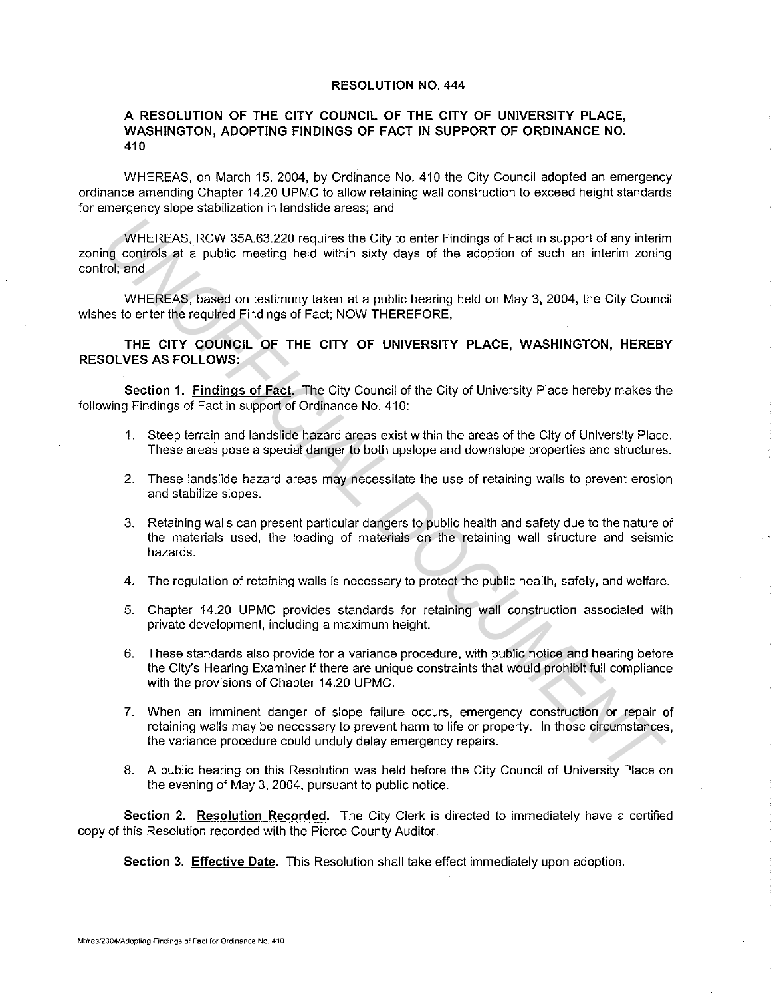## **RESOLUTION NO. 444**

## **A RESOLUTION OF THE CITY COUNCIL OF THE CITY OF UNIVERSITY PLACE, WASHINGTON, ADOPTING FINDINGS OF FACT IN SUPPORT OF ORDINANCE NO. 410**

WHEREAS, on March 15, 2004, by Ordinance No. 410 the City Council adopted an emergency ordinance amending Chapter 14.20 UPMC to allow retaining wall construction to exceed height standards for emergency slope stabilization in landslide areas; and

WHEREAS, RCW 35A.63.220 requires the City to enter Findings of Fact in support of any interim zoning controls at a public meeting held within sixty days of the adoption of such an interim zoning control; and WHEREAS, RCW 35A.63.220 requires the City to enter Findings of Fact in support of any intering<br> **UNICIPENTS.** WHEREAS, based on testimony taken at a public hearing held on May 3, 2004, the City Counces<br>
UNICIREAS, based on

WHEREAS, based on testimony taken at a public hearing held on May 3, 2004, the City Council wishes to enter the required Findings of Fact; NOW THEREFORE,

**THE CITY COUNCIL OF THE CITY OF UNIVERSITY PLACE, WASHINGTON, HEREBY RESOLVES AS FOLLOWS:** 

**Section 1. Findings of Fact.** The City Council of the City of University Place hereby makes the following Findings of Fact in support of Ordinance No. 410:

- 1. Steep terrain and landslide hazard areas exist within the areas of the City of University Place. These areas pose a special danger to both upslope and downslope properties and structures.
- 2. These landslide hazard areas may necessitate the use of retaining walls to prevent erosion and stabilize slopes.
- 3. Retaining walls can present particular dangers to public health and safety due to the nature of the materials used, the loading of materials on the retaining wall structure and seismic hazards.
- 4. The regulation of retaining walls is necessary to protect the public health, safety, and welfare.
- 5. Chapter 14.20 UPMC provides standards for retaining wall construction associated with private development, including a maximum height.
- 6. These standards also provide for a variance procedure, with public notice and hearing before the City's Hearing Examiner if there are unique constraints that would prohibit full compliance with the provisions of Chapter 14.20 UPMC.
- 7. When an imminent danger of slope failure occurs, emergency construction or repair of retaining walls may be necessary to prevent harm to life or property. In those circumstances, the variance procedure could unduly delay emergency repairs.
- 8. A public hearing on this Resolution was held before the City Council of University Place on the evening of May 3, 2004, pursuant to public notice.

**Section 2. Resolution Recorded.** The City Clerk is directed to immediately have a certified copy of this Resolution recorded with the Pierce County Auditor.

**Section 3. Effective Date.** This Resolution shall take effect immediately upon adoption.